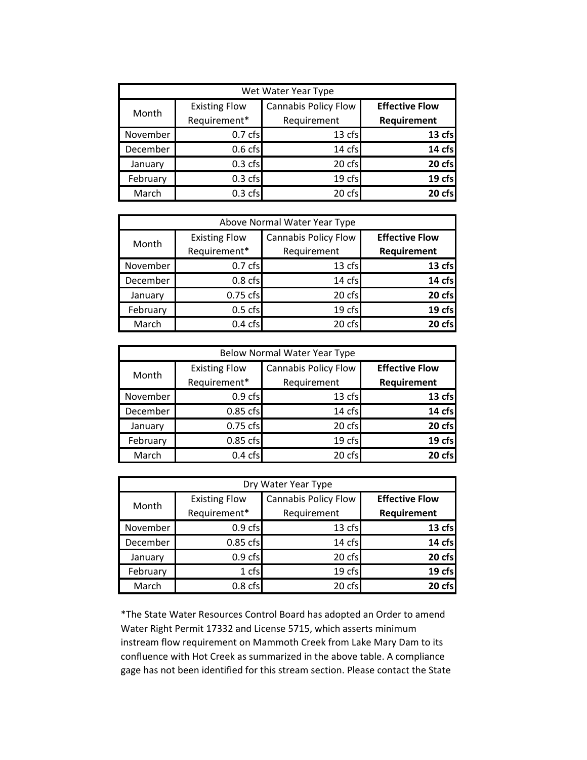| Wet Water Year Type |                      |                             |                       |  |  |
|---------------------|----------------------|-----------------------------|-----------------------|--|--|
| Month               | <b>Existing Flow</b> | <b>Cannabis Policy Flow</b> | <b>Effective Flow</b> |  |  |
|                     | Requirement*         | Requirement                 | Requirement           |  |  |
| November            | 0.7 <sub>cfs</sub>   | 13 cfs                      | 13 cfs                |  |  |
| December            | 0.6 <sub>cfs</sub>   | 14 cfs                      | 14 cfs                |  |  |
| January             | $0.3$ cfs            | 20 cfs                      | 20 cfs                |  |  |
| February            | $0.3$ cfs            | 19 cfs                      | 19 cfs                |  |  |
| March               | 0.3 <sub>cfs</sub>   | 20 cfs                      | 20 cfs                |  |  |

| Above Normal Water Year Type |                      |                             |                       |  |  |
|------------------------------|----------------------|-----------------------------|-----------------------|--|--|
| Month                        | <b>Existing Flow</b> | <b>Cannabis Policy Flow</b> | <b>Effective Flow</b> |  |  |
|                              | Requirement*         | Requirement                 | Requirement           |  |  |
| November                     | 0.7 <sub>cfs</sub>   | 13 cfs                      | 13 cfs                |  |  |
| December                     | 0.8 <sub>cfs</sub>   | 14 cfs                      | 14 cfs                |  |  |
| January                      | 0.75 cfs             | 20 cfs                      | 20 cfs                |  |  |
| February                     | $0.5$ cfs            | 19 cfs                      | 19 cfs                |  |  |
| March                        | 0.4 <sub>cts</sub>   | 20 cfs                      | 20 cfs                |  |  |

| Below Normal Water Year Type |                      |                             |                       |  |  |
|------------------------------|----------------------|-----------------------------|-----------------------|--|--|
| Month                        | <b>Existing Flow</b> | <b>Cannabis Policy Flow</b> | <b>Effective Flow</b> |  |  |
|                              | Requirement*         | Requirement                 | Requirement           |  |  |
| November                     | 0.9 <sub>cfs</sub>   | 13 cfs                      | 13 cfs                |  |  |
| December                     | 0.85 cfs             | 14 cfs                      | 14 cfs                |  |  |
| January                      | $0.75$ cfs           | 20 cfs                      | 20 cfs                |  |  |
| February                     | 0.85 cfs             | 19 cfs                      | 19 cfs                |  |  |
| March                        | 0.4 <sub>cts</sub>   | 20 cfs                      | 20 cfs                |  |  |

| Dry Water Year Type |                      |                             |                       |  |  |
|---------------------|----------------------|-----------------------------|-----------------------|--|--|
| Month               | <b>Existing Flow</b> | <b>Cannabis Policy Flow</b> | <b>Effective Flow</b> |  |  |
|                     | Requirement*         | Requirement                 | Requirement           |  |  |
| November            | 0.9 <sub>cfs</sub>   | 13 cfs                      | 13 cfs                |  |  |
| December            | 0.85 cfs             | 14 cfs                      | 14 cfs                |  |  |
| January             | 0.9 <sub>cfs</sub>   | 20 cfs                      | 20 cfs                |  |  |
| February            | 1 cfs                | 19 cfs                      | 19 cfs                |  |  |
| March               | 0.8 <sub>cfs</sub>   | 20 cfs                      | 20 cfs                |  |  |

\*The State Water Resources Control Board has adopted an Order to amend Water Right Permit 17332 and License 5715, which asserts minimum instream flow requirement on Mammoth Creek from Lake Mary Dam to its confluence with Hot Creek as summarized in the above table. A compliance gage has not been identified for this stream section. Please contact the State